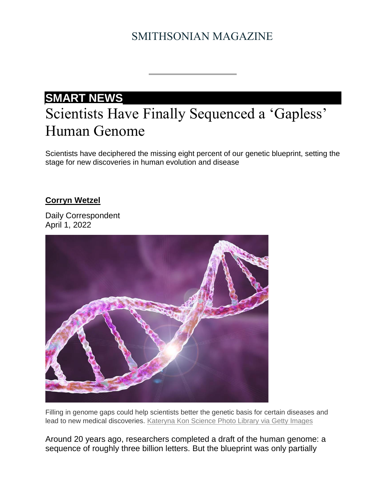# SMITHSONIAN MAGAZINE

# **[SMART NEWS](https://www.smithsonianmag.com/category/smart-news/)** Scientists Have Finally Sequenced a 'Gapless' Human Genome

Scientists have deciphered the missing eight percent of our genetic blueprint, setting the stage for new discoveries in human evolution and disease

### **[Corryn Wetzel](https://www.smithsonianmag.com/author/corryn-wetzel/)**

Daily Correspondent April 1, 2022



Filling in genome gaps could help scientists better the genetic basis for certain diseases and lead to new medical discoveries. [Kateryna Kon Science Photo Library via Getty Images](https://www.gettyimages.com/detail/illustration/genetic-mutation-conceptual-illustration-royalty-free-illustration/1339204507?adppopup=true)

Around 20 years ago, researchers completed a draft of the human genome: a sequence of roughly three billion letters. But the blueprint was only partially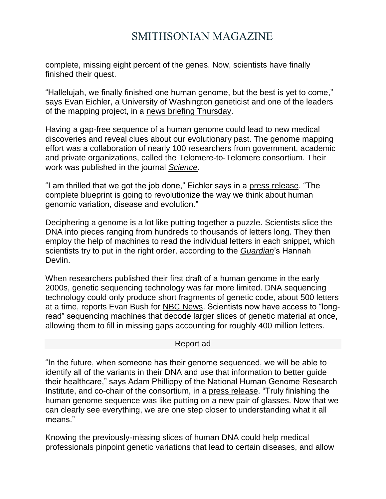## SMITHSONIAN MAGAZINE

complete, missing eight percent of the genes. Now, scientists have finally finished their quest.

"Hallelujah, we finally finished one human genome, but the best is yet to come," says Evan Eichler, a University of Washington geneticist and one of the leaders of the mapping project, in a [news briefing Thursday.](https://time.com/6163452/human-genome-fully-sequenced/)

Having a gap-free sequence of a human genome could lead to new medical discoveries and reveal clues about our evolutionary past. The genome mapping effort was a collaboration of nearly 100 researchers from government, academic and private organizations, called the Telomere-to-Telomere consortium. Their work was published in the journal *[Science](https://doi.org/10.1126/science.abp8653)*.

"I am thrilled that we got the job done," Eichler says in a [press release.](https://www.nih.gov/news-events/news-releases/researchers-generate-first-complete-gapless-sequence-human-genome#:~:text=%22In%20the%20future%2C%20when%20someone,a%20new%20pair%20of%20glasses.) "The complete blueprint is going to revolutionize the way we think about human genomic variation, disease and evolution."

Deciphering a genome is a lot like putting together a puzzle. Scientists slice the DNA into pieces ranging from hundreds to thousands of letters long. They then employ the help of machines to read the individual letters in each snippet, which scientists try to put in the right order, according to the *[Guardian](https://www.theguardian.com/science/2022/mar/31/first-complete-gap-free-human-genome-sequence-published)*'s Hannah Devlin.

When researchers published their first draft of a human genome in the early 2000s, genetic sequencing technology was far more limited. DNA sequencing technology could only produce short fragments of genetic code, about 500 letters at a time, reports Evan Bush for [NBC News.](https://www.nbcnews.com/science/science-news/human-genome-finally-fully-decoded-rcna22029) Scientists now have access to "longread" sequencing machines that decode larger slices of genetic material at once, allowing them to fill in missing gaps accounting for roughly 400 million letters.

#### Report ad

"In the future, when someone has their genome sequenced, we will be able to identify all of the variants in their DNA and use that information to better guide their healthcare," says Adam Phillippy of the National Human Genome Research Institute, and co-chair of the consortium, in a [press release.](https://www.nih.gov/news-events/news-releases/researchers-generate-first-complete-gapless-sequence-human-genome#:~:text=%22In%20the%20future%2C%20when%20someone,a%20new%20pair%20of%20glasses.) "Truly finishing the human genome sequence was like putting on a new pair of glasses. Now that we can clearly see everything, we are one step closer to understanding what it all means."

Knowing the previously-missing slices of human DNA could help medical professionals pinpoint genetic variations that lead to certain diseases, and allow